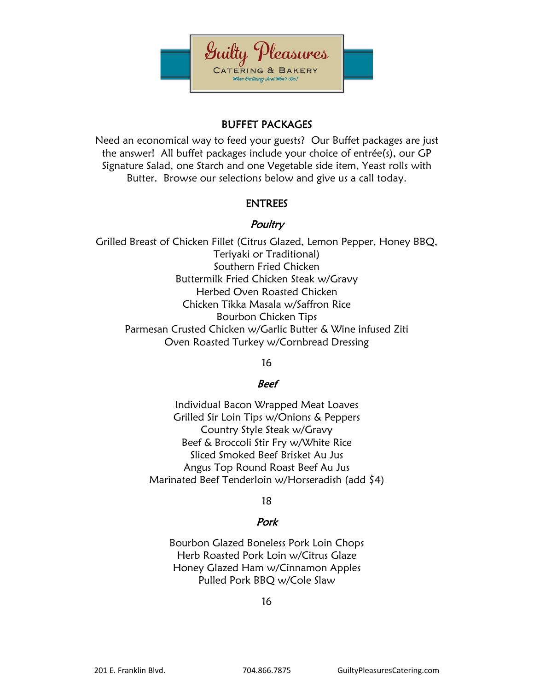

# BUFFET PACKAGES

Need an economical way to feed your guests? Our Buffet packages are just the answer! All buffet packages include your choice of entrée(s), our GP Signature Salad, one Starch and one Vegetable side item, Yeast rolls with Butter. Browse our selections below and give us a call today.

### ENTREES

### **Poultry**

Grilled Breast of Chicken Fillet (Citrus Glazed, Lemon Pepper, Honey BBQ, Teriyaki or Traditional) Southern Fried Chicken Buttermilk Fried Chicken Steak w/Gravy Herbed Oven Roasted Chicken Chicken Tikka Masala w/Saffron Rice Bourbon Chicken Tips Parmesan Crusted Chicken w/Garlic Butter & Wine infused Ziti Oven Roasted Turkey w/Cornbread Dressing

16

#### Beef

Individual Bacon Wrapped Meat Loaves Grilled Sir Loin Tips w/Onions & Peppers Country Style Steak w/Gravy Beef & Broccoli Stir Fry w/White Rice Sliced Smoked Beef Brisket Au Jus Angus Top Round Roast Beef Au Jus Marinated Beef Tenderloin w/Horseradish (add \$4)

18

# Pork

Bourbon Glazed Boneless Pork Loin Chops Herb Roasted Pork Loin w/Citrus Glaze Honey Glazed Ham w/Cinnamon Apples Pulled Pork BBQ w/Cole Slaw

16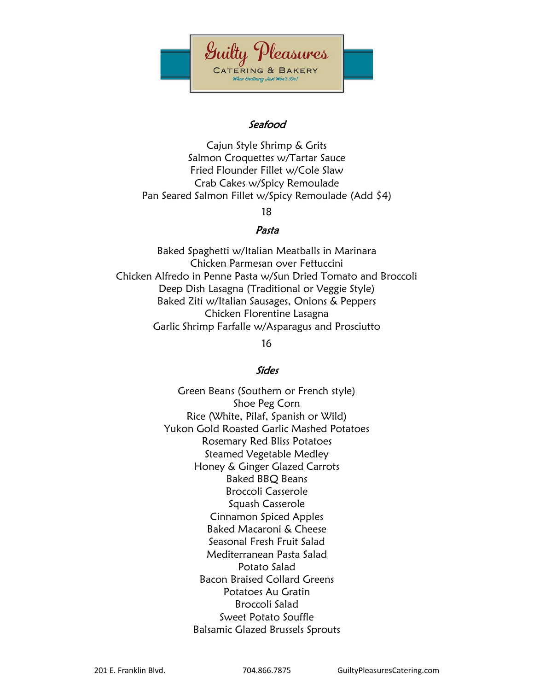

### Seafood

Cajun Style Shrimp & Grits Salmon Croquettes w/Tartar Sauce Fried Flounder Fillet w/Cole Slaw Crab Cakes w/Spicy Remoulade Pan Seared Salmon Fillet w/Spicy Remoulade (Add \$4)

18

#### Pasta

Baked Spaghetti w/Italian Meatballs in Marinara Chicken Parmesan over Fettuccini Chicken Alfredo in Penne Pasta w/Sun Dried Tomato and Broccoli Deep Dish Lasagna (Traditional or Veggie Style) Baked Ziti w/Italian Sausages, Onions & Peppers Chicken Florentine Lasagna Garlic Shrimp Farfalle w/Asparagus and Prosciutto

16

#### Sides

Green Beans (Southern or French style) Shoe Peg Corn Rice (White, Pilaf, Spanish or Wild) Yukon Gold Roasted Garlic Mashed Potatoes Rosemary Red Bliss Potatoes Steamed Vegetable Medley Honey & Ginger Glazed Carrots Baked BBQ Beans Broccoli Casserole Squash Casserole Cinnamon Spiced Apples Baked Macaroni & Cheese Seasonal Fresh Fruit Salad Mediterranean Pasta Salad Potato Salad Bacon Braised Collard Greens Potatoes Au Gratin Broccoli Salad Sweet Potato Souffle Balsamic Glazed Brussels Sprouts